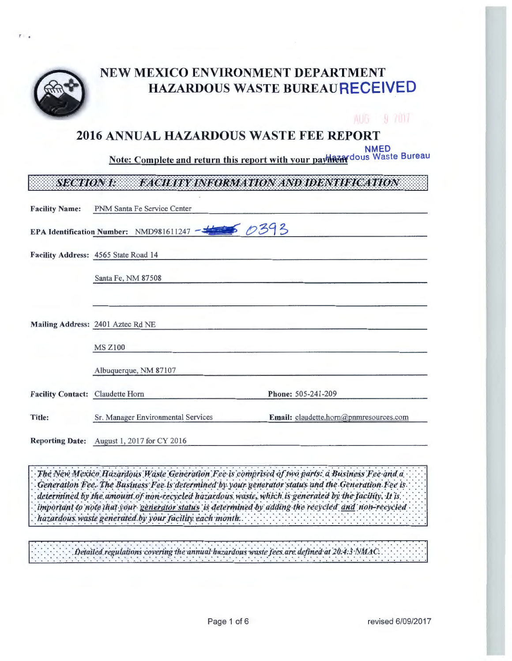

# NEW MEXICO ENVIRONMENT DEPARTMENT HAZARDOUS WASTE BUREAURECEIVED

# AUG 9 7017

# 2016 ANNUAL HAZARDOUS WASTE FEE REPORT

**NMED** 

Note: Complete and return this report with your payhazardous Waste Bureau

### **FACILITY INFORMATION AND IDENTIFICATION SECTION I:**

| <b>Facility Name:</b>            | PNM Santa Fe Service Center                                          |                                        |
|----------------------------------|----------------------------------------------------------------------|----------------------------------------|
|                                  | EPA Identification Number: NMD981611247 - $\frac{1}{\sqrt{39}}$ 0393 |                                        |
|                                  | Facility Address: 4565 State Road 14                                 |                                        |
|                                  | Santa Fe, NM 87508                                                   |                                        |
|                                  | Mailing Address: 2401 Aztec Rd NE                                    |                                        |
|                                  | <b>MS Z100</b>                                                       |                                        |
|                                  | Albuquerque, NM 87107                                                |                                        |
| Facility Contact: Claudette Horn |                                                                      | Phone: 505-241-209                     |
| Title:                           | Sr. Manager Environmental Services                                   | Email: claudette.horn@pnmresources.com |
|                                  | Reporting Date: August 1, 2017 for CY 2016                           |                                        |

The New Mexico Hazardous Waste Generation Fee is comprised of two parts: a Business Fee and a Generation Fee. The Business Fee is determined by your generator status and the Generation Fee is. determined by the amount of non-recycled hazardous waste, which is generated by the facility. It is important to note that your generator status is determined by adding the recycled and non-recycled hazardous waste generated by your facility each month.

Detailed regulations covering the annual hazardous waste fees are defined at 20:4:3 NMAC.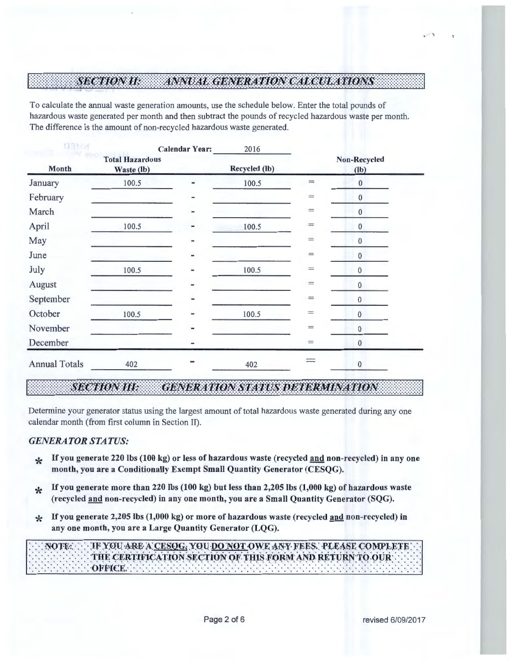### **SECTION II:** ANNUAL GENERATION CALCULATIONS

To calculate the annual waste generation amounts, use the schedule below. Enter the total pounds of hazardous waste generated per month and then subtract the pounds of recycled hazardous waste per month. The difference is the amount of non-recycled hazardous waste generated.

| <b>NIMED</b><br>$1 - 711$ |                                      | <b>Calendar Year:</b> | 2016          |                                              |                        |
|---------------------------|--------------------------------------|-----------------------|---------------|----------------------------------------------|------------------------|
| Month                     | <b>Total Hazardous</b><br>Waste (lb) |                       | Recycled (lb) |                                              | Non-Recycled<br>$(lb)$ |
| January                   | 100.5                                |                       | 100.5         | $\frac{1}{1-\frac{1}{2}}$                    | $\bf{0}$               |
| February                  |                                      |                       |               | $=$                                          | $\bf{0}$               |
| March                     |                                      |                       |               | $=$                                          | $\bf{0}$               |
| April                     | 100.5                                |                       | 100.5         | $=$                                          | $\pmb{0}$              |
| May                       |                                      |                       |               | $=$                                          | $\mathbf{0}$           |
| June                      |                                      |                       |               | $\displaystyle \qquad \qquad =\qquad \qquad$ | $\bf{0}$               |
| July                      | 100.5                                |                       | 100.5         | $=$                                          | $\bf{0}$               |
| August                    |                                      | -                     |               | $=$                                          | $\bf{0}$               |
| September                 |                                      |                       |               | $=$                                          | $\pmb{0}$              |
| October                   | 100.5                                |                       | 100.5         | $\equiv$                                     | $\pmb{0}$              |
| November                  |                                      |                       |               | $=$                                          | $\bf{0}$               |
| December                  |                                      |                       |               | $\displaystyle \qquad \qquad =\qquad \qquad$ | $\bf{0}$               |
| <b>Annual Totals</b>      | 402                                  |                       | 402           |                                              | $\pmb{0}$              |

### **SECTION III. GENERATION STATUS DETERMINATION**

Determine your generator status using the largest amount of total hazardous waste generated during any one calendar month (from first column in Section II).

### *GENERATOR STATUS:*

- **\*** If you generate 220 lbs (100 kg) or less of hazardous waste (recycled and non-recycled) in any one month, you are a Conditionally Exempt Small Quantity Generator (CESQG).
- \* If you generate more than 220 lbs (100 kg) but less than 2,205 lbs (1,000 kg) of hazardous waste (recycled and non-recycled) in any one month, you are a Small Quantity Generator (SQG).
- $*$  If you generate 2,205 lbs (1,000 kg) or more of hazardous waste (recycled and non-recycled) in any one month, you are a Large Quantity Generator (LQG).

: ·:·:NOTE-:: ·:·:· :IF YOU ARE- A CESQG; YOU ·DO NOT-OW~ ANY J:fEES.: ·l'LEASE <::-OMPLEJ'E: ·: · THE CERTIFICATION SECTION OF THIS FORM AND RETURN TO OUR:<br>OFFICE ·: ·: ·: ·: ·: ·: ·: ·: ·: ·: ·OFF-lCE: : ·: ·: ·: ·: ·: ·: ·: ·: ·: ·: ·: ·: ·: ·: ·: ·: ·: ·: ·: ·: ·: ·: ·: ·: ·: ·: ·: ·: ·: ·: ·: ·: ·: ·: ·: ·: ·: ·: ·: ·: ·: ·: ·: ·: ·: ·: ·:

. '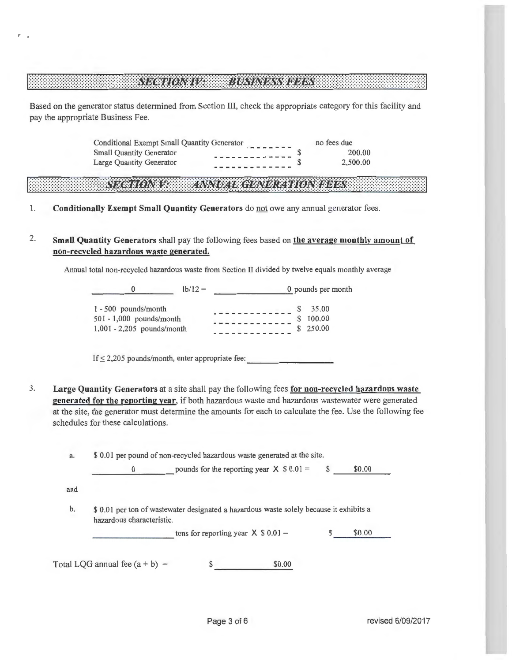#### **SECTION IV.** BIRTALISSYR INS

 $\mathcal{L}$ 

Based on the generator status determined from Section III, check the appropriate category for this facility and pay the appropriate Business Fee.

> Conditional Exempt Small Quantity Generator Small Quantity Generator Large Quantity Generator \$ \$ no fees due 200 .00 2,500.00

#### ZARIOZI KOLUMUZ ZI ORBINA XY IS OS N I DAVE ISBN 19

- 1. **Conditionally Exempt Small Quantity Generators** do not owe any annual generator fees.
- 2. **Small Quantity Generators** shall pay the following fees based on **the average monthly amount of non-recycled hazardous waste generated.**

Annual total non-recycled hazardous waste from Section II divided by twelve equals monthly average

| o                                                                                | $1b/12 =$ | 0 pounds per month        |
|----------------------------------------------------------------------------------|-----------|---------------------------|
| $1 - 500$ pounds/month<br>501 - 1,000 pounds/month<br>1,001 - 2,205 pounds/month |           | 35.00<br>100.00<br>250.00 |

If  $\leq$  2,205 pounds/month, enter appropriate fee:

3. **Large Quantity Generators** at a site shall pay the fo llowing fees **for non-recycled hazardous waste generated for the reporting year,** if both hazardous waste and hazardous wastewater were generated at the site, the generator must determine the amounts for each to calculate the fee. Use the following fee schedules for these calculations.

| a. |  |  |  | \$ 0.01 per pound of non-recycled hazardous waste generated at the site. |
|----|--|--|--|--------------------------------------------------------------------------|
|----|--|--|--|--------------------------------------------------------------------------|

0 pounds for the reporting year  $X \$ 0.01 =$  \$ \$0.00 and b. \$ 0.01 per ton of wastewater designated a hazardous waste solely because it exhibits a hazardous characteristic. tons for reporting year  $X$  \$ 0.01 = \$ \$0.00 Total LQG annual fee  $(a + b) =$  \$0.00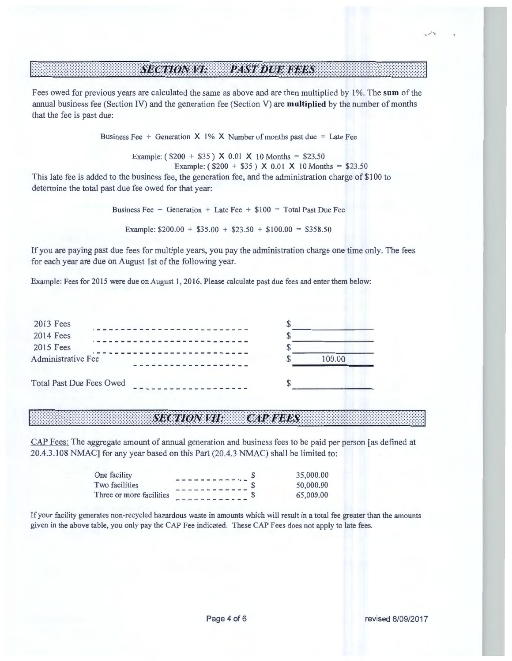## si anosti markani izazis

Fees owed for previous years are calculated the same as above and are then multiplied by 1 %. The **sum** of the annual business fee (Section IV) and the generation fee (Section V) are **multiplied** by the number of months that the fee is past due :

Business Fee + Generation  $X$  1% X Number of months past due = Late Fee

Example:  $(\$200 + \$35) \times 0.01 \times 10 \text{ months} = \$23.50$ Example:  $(\$200 + \$35) \times 0.01 \times 10 \text{ months} = \$23.50$ 

This late fee is added to the business fee, the generation fee, and the administration charge of \$100 to determine the total past due fee owed for that year:

Business Fee + Generation + Late Fee +  $$100 = Total Past Due Fe$ 

Example:  $$200.00 + $35.00 + $23.50 + $100.00 = $358.50$ 

If you are paying past due fees for multiple years, you pay the administration charge one time only. The fees for each year are due on August 1st of the following year.

Example: Fees for 2015 were due on August 1, 2016. Please calculate past due fees and enter them below:

| 2013 Fees                       |  |        |
|---------------------------------|--|--------|
| 2014 Fees                       |  |        |
| 2015 Fees                       |  |        |
| Administrative Fee              |  | 100.00 |
| <b>Total Past Due Fees Owed</b> |  |        |

#### **SECTIONSTIL CAPAGNES**

CAP Fees: The aggregate amount of annual generation and business fees to be paid per person [as defined at 20.4.3 .108 NMAC] for any year based on this Part (20.4.3 NMAC) shall be limited to:

| One facility             | 35,000.00 |
|--------------------------|-----------|
| Two facilities           | 50,000.00 |
| Three or more facilities | 65,000.00 |

If your facility generates non-recycled hazardous waste in amounts which will result in a total fee greater than the amounts given in the above table, you only pay the CAP Fee indicated. These CAP Fees does not apply to late fees.